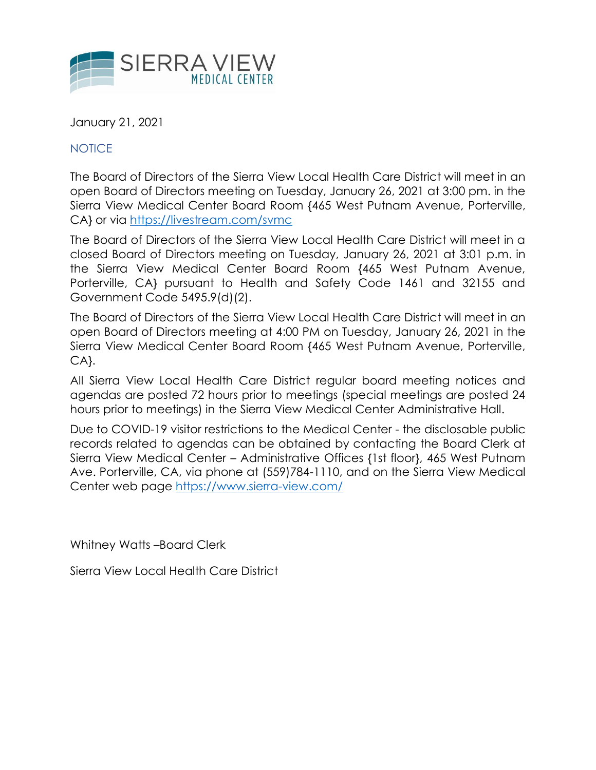

January 21, 2021

NOTICE

The Board of Directors of the Sierra View Local Health Care District will meet in an open Board of Directors meeting on Tuesday, January 26, 2021 at 3:00 pm. in the Sierra View Medical Center Board Room {465 West Putnam Avenue, Porterville, CA} or via<https://livestream.com/svmc>

The Board of Directors of the Sierra View Local Health Care District will meet in a closed Board of Directors meeting on Tuesday, January 26, 2021 at 3:01 p.m. in the Sierra View Medical Center Board Room {465 West Putnam Avenue, Porterville, CA} pursuant to Health and Safety Code 1461 and 32155 and Government Code 5495.9(d)(2).

The Board of Directors of the Sierra View Local Health Care District will meet in an open Board of Directors meeting at 4:00 PM on Tuesday, January 26, 2021 in the Sierra View Medical Center Board Room {465 West Putnam Avenue, Porterville, CA}.

All Sierra View Local Health Care District regular board meeting notices and agendas are posted 72 hours prior to meetings (special meetings are posted 24 hours prior to meetings) in the Sierra View Medical Center Administrative Hall.

Due to COVID-19 visitor restrictions to the Medical Center - the disclosable public records related to agendas can be obtained by contacting the Board Clerk at Sierra View Medical Center – Administrative Offices {1st floor}, 465 West Putnam Ave. Porterville, CA, via phone at (559)784-1110, and on the Sierra View Medical Center web page<https://www.sierra-view.com/>

Whitney Watts –Board Clerk

Sierra View Local Health Care District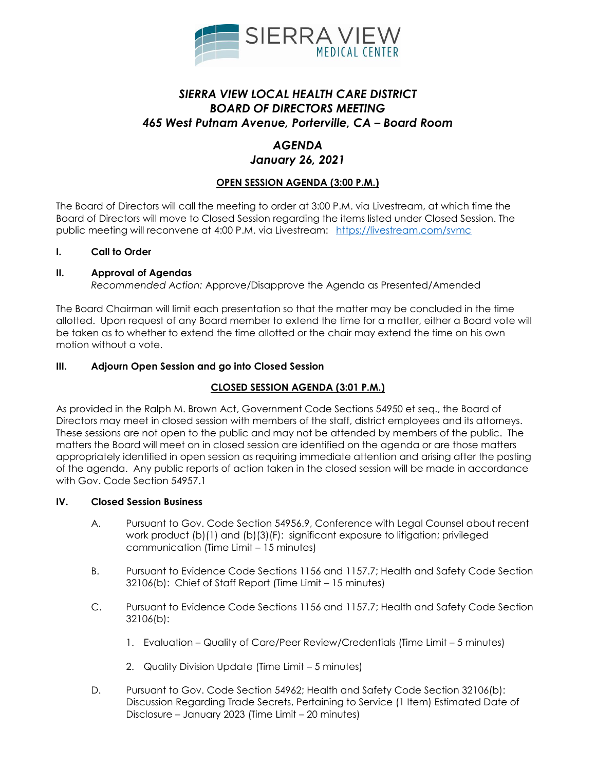

# *SIERRA VIEW LOCAL HEALTH CARE DISTRICT BOARD OF DIRECTORS MEETING 465 West Putnam Avenue, Porterville, CA – Board Room*

### *AGENDA January 26, 2021*

### **OPEN SESSION AGENDA (3:00 P.M.)**

The Board of Directors will call the meeting to order at 3:00 P.M. via Livestream, at which time the Board of Directors will move to Closed Session regarding the items listed under Closed Session. The public meeting will reconvene at 4:00 P.M. via Livestream: <https://livestream.com/svmc>

#### **I. Call to Order**

#### **II. Approval of Agendas**

*Recommended Action:* Approve/Disapprove the Agenda as Presented/Amended

The Board Chairman will limit each presentation so that the matter may be concluded in the time allotted. Upon request of any Board member to extend the time for a matter, either a Board vote will be taken as to whether to extend the time allotted or the chair may extend the time on his own motion without a vote.

#### **III. Adjourn Open Session and go into Closed Session**

#### **CLOSED SESSION AGENDA (3:01 P.M.)**

As provided in the Ralph M. Brown Act, Government Code Sections 54950 et seq., the Board of Directors may meet in closed session with members of the staff, district employees and its attorneys. These sessions are not open to the public and may not be attended by members of the public. The matters the Board will meet on in closed session are identified on the agenda or are those matters appropriately identified in open session as requiring immediate attention and arising after the posting of the agenda. Any public reports of action taken in the closed session will be made in accordance with Gov. Code Section 54957.1

#### **IV. Closed Session Business**

- A. Pursuant to Gov. Code Section 54956.9, Conference with Legal Counsel about recent work product (b)(1) and (b)(3)(F): significant exposure to litigation; privileged communication (Time Limit – 15 minutes)
- B. Pursuant to Evidence Code Sections 1156 and 1157.7; Health and Safety Code Section 32106(b): Chief of Staff Report (Time Limit – 15 minutes)
- C. Pursuant to Evidence Code Sections 1156 and 1157.7; Health and Safety Code Section 32106(b):
	- 1. Evaluation Quality of Care/Peer Review/Credentials (Time Limit 5 minutes)
	- 2. Quality Division Update (Time Limit 5 minutes)
- D. Pursuant to Gov. Code Section 54962; Health and Safety Code Section 32106(b): Discussion Regarding Trade Secrets, Pertaining to Service (1 Item) Estimated Date of Disclosure – January 2023 (Time Limit – 20 minutes)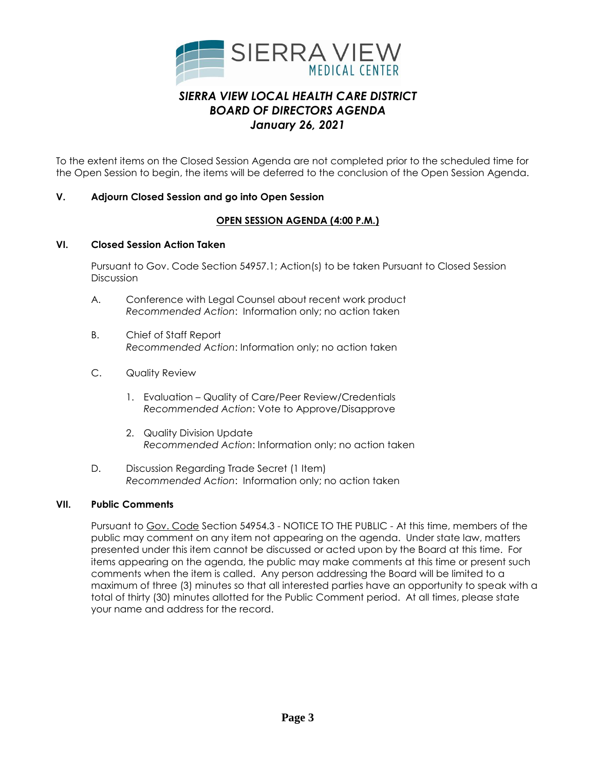

To the extent items on the Closed Session Agenda are not completed prior to the scheduled time for the Open Session to begin, the items will be deferred to the conclusion of the Open Session Agenda.

### **V. Adjourn Closed Session and go into Open Session**

### **OPEN SESSION AGENDA (4:00 P.M.)**

#### **VI. Closed Session Action Taken**

Pursuant to Gov. Code Section 54957.1; Action(s) to be taken Pursuant to Closed Session **Discussion** 

- A. Conference with Legal Counsel about recent work product *Recommended Action*: Information only; no action taken
- B. Chief of Staff Report *Recommended Action*: Information only; no action taken
- C. Quality Review
	- 1. Evaluation Quality of Care/Peer Review/Credentials *Recommended Action*: Vote to Approve/Disapprove
	- 2. Quality Division Update *Recommended Action*: Information only; no action taken
- D. Discussion Regarding Trade Secret (1 Item) *Recommended Action*: Information only; no action taken

#### **VII. Public Comments**

Pursuant to Gov. Code Section 54954.3 - NOTICE TO THE PUBLIC - At this time, members of the public may comment on any item not appearing on the agenda. Under state law, matters presented under this item cannot be discussed or acted upon by the Board at this time. For items appearing on the agenda, the public may make comments at this time or present such comments when the item is called. Any person addressing the Board will be limited to a maximum of three (3) minutes so that all interested parties have an opportunity to speak with a total of thirty (30) minutes allotted for the Public Comment period. At all times, please state your name and address for the record.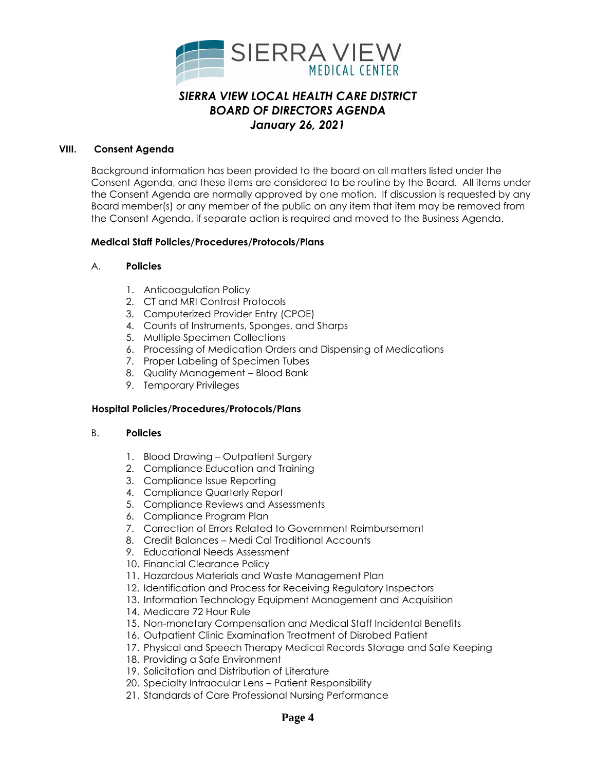

#### **VIII. Consent Agenda**

Background information has been provided to the board on all matters listed under the Consent Agenda, and these items are considered to be routine by the Board. All items under the Consent Agenda are normally approved by one motion. If discussion is requested by any Board member(s) or any member of the public on any item that item may be removed from the Consent Agenda, if separate action is required and moved to the Business Agenda.

#### **Medical Staff Policies/Procedures/Protocols/Plans**

#### A. **Policies**

- 1. Anticoagulation Policy
- 2. CT and MRI Contrast Protocols
- 3. Computerized Provider Entry (CPOE)
- 4. Counts of Instruments, Sponges, and Sharps
- 5. Multiple Specimen Collections
- 6. Processing of Medication Orders and Dispensing of Medications
- 7. Proper Labeling of Specimen Tubes
- 8. Quality Management Blood Bank
- 9. Temporary Privileges

#### **Hospital Policies/Procedures/Protocols/Plans**

#### B. **Policies**

- 1. Blood Drawing Outpatient Surgery
- 2. Compliance Education and Training
- 3. Compliance Issue Reporting
- 4. Compliance Quarterly Report
- 5. Compliance Reviews and Assessments
- 6. Compliance Program Plan
- 7. Correction of Errors Related to Government Reimbursement
- 8. Credit Balances Medi Cal Traditional Accounts
- 9. Educational Needs Assessment
- 10. Financial Clearance Policy
- 11. Hazardous Materials and Waste Management Plan
- 12. Identification and Process for Receiving Regulatory Inspectors
- 13. Information Technology Equipment Management and Acquisition
- 14. Medicare 72 Hour Rule
- 15. Non-monetary Compensation and Medical Staff Incidental Benefits
- 16. Outpatient Clinic Examination Treatment of Disrobed Patient
- 17. Physical and Speech Therapy Medical Records Storage and Safe Keeping
- 18. Providing a Safe Environment
- 19. Solicitation and Distribution of Literature
- 20. Specialty Intraocular Lens Patient Responsibility
- 21. Standards of Care Professional Nursing Performance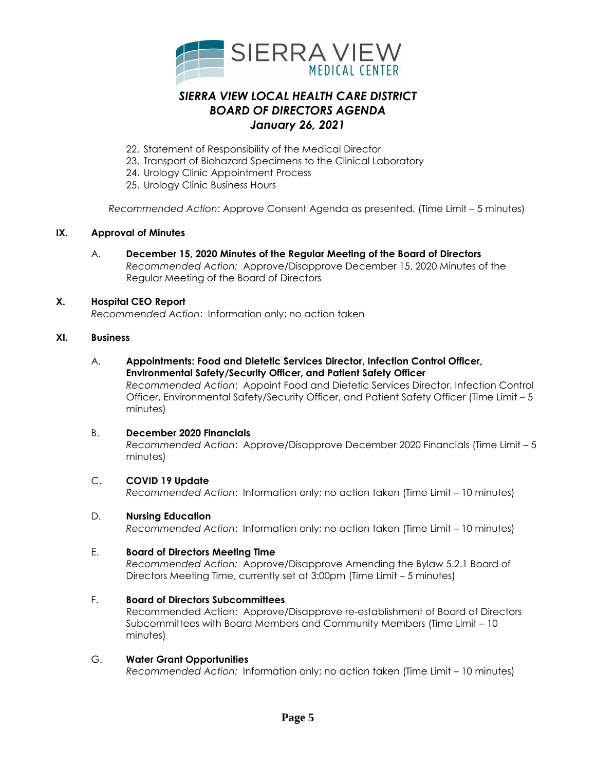

- 22. Statement of Responsibility of the Medical Director
- 23. Transport of Biohazard Specimens to the Clinical Laboratory
- 24. Urology Clinic Appointment Process
- 25. Urology Clinic Business Hours

*Recommended Action*: Approve Consent Agenda as presented. (Time Limit – 5 minutes)

### **IX. Approval of Minutes**

A. **December 15, 2020 Minutes of the Regular Meeting of the Board of Directors** *Recommended Action:* Approve/Disapprove December 15, 2020 Minutes of the Regular Meeting of the Board of Directors

#### **X. Hospital CEO Report**

*Recommended Action*: Information only; no action taken

#### **XI. Business**

A. **Appointments: Food and Dietetic Services Director, Infection Control Officer, Environmental Safety/Security Officer, and Patient Safety Officer** *Recommended Action*: Appoint Food and Dietetic Services Director, Infection Control

Officer, Environmental Safety/Security Officer, and Patient Safety Officer (Time Limit – 5 minutes)

#### B. **December 2020 Financials**

*Recommended Action*: Approve/Disapprove December 2020 Financials (Time Limit – 5 minutes)

C. **COVID 19 Update**

*Recommended Action*: Information only; no action taken (Time Limit – 10 minutes)

#### D. **Nursing Education**

*Recommended Action*: Information only; no action taken (Time Limit – 10 minutes)

#### E. **Board of Directors Meeting Time**

*Recommended Action:* Approve/Disapprove Amending the Bylaw 5.2.1 Board of Directors Meeting Time, currently set at 3:00pm (Time Limit – 5 minutes)

F. **Board of Directors Subcommittees** 

Recommended Action: Approve/Disapprove re-establishment of Board of Directors Subcommittees with Board Members and Community Members (Time Limit – 10 minutes)

#### G. **Water Grant Opportunities**

*Recommended Action:* Information only; no action taken (Time Limit – 10 minutes)